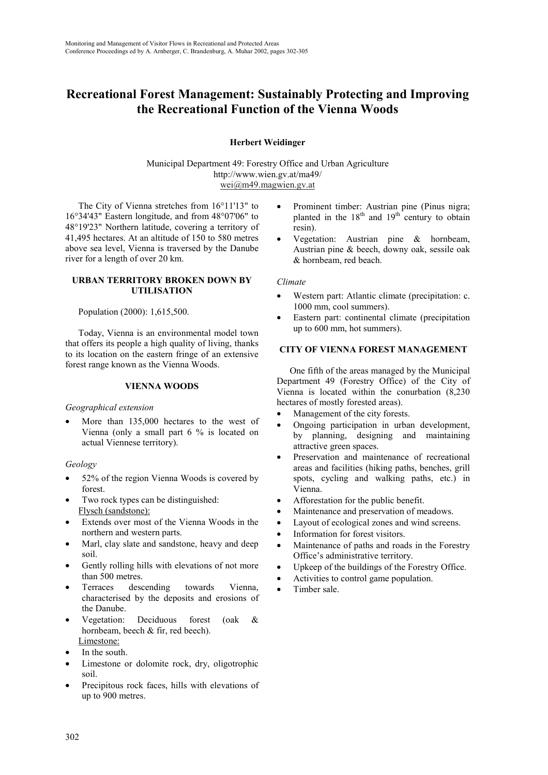# **Recreational Forest Management: Sustainably Protecting and Improving the Recreational Function of the Vienna Woods**

# **Herbert Weidinger**

Municipal Department 49: Forestry Office and Urban Agriculture http://www.wien.gv.at/ma49/ wei@m49.magwien.gv.at

The City of Vienna stretches from 16°11'13" to 16°34'43" Eastern longitude, and from 48°07'06" to 48°19'23" Northern latitude, covering a territory of 41,495 hectares. At an altitude of 150 to 580 metres above sea level, Vienna is traversed by the Danube river for a length of over 20 km.

#### **URBAN TERRITORY BROKEN DOWN BY UTILISATION**

# Population (2000): 1,615,500.

Today, Vienna is an environmental model town that offers its people a high quality of living, thanks to its location on the eastern fringe of an extensive forest range known as the Vienna Woods.

#### **VIENNA WOODS**

#### *Geographical extension*

More than 135,000 hectares to the west of Vienna (only a small part 6 % is located on actual Viennese territory).

# *Geology*

- 52% of the region Vienna Woods is covered by forest.
- Two rock types can be distinguished: Flysch (sandstone):
- Extends over most of the Vienna Woods in the northern and western parts.
- Marl, clay slate and sandstone, heavy and deep soil.
- Gently rolling hills with elevations of not more than 500 metres.
- Terraces descending towards Vienna, characterised by the deposits and erosions of the Danube.
- Vegetation: Deciduous forest (oak & hornbeam, beech & fir, red beech). Limestone:
- In the south.
- Limestone or dolomite rock, dry, oligotrophic soil.
- Precipitous rock faces, hills with elevations of up to 900 metres.
- Prominent timber: Austrian pine (Pinus nigra; planted in the  $18<sup>th</sup>$  and  $19<sup>th</sup>$  century to obtain resin).
- Vegetation: Austrian pine & hornbeam, Austrian pine & beech, downy oak, sessile oak & hornbeam, red beach.

#### *Climate*

- Western part: Atlantic climate (precipitation: c. 1000 mm, cool summers).
- Eastern part: continental climate (precipitation up to 600 mm, hot summers).

# **CITY OF VIENNA FOREST MANAGEMENT**

One fifth of the areas managed by the Municipal Department 49 (Forestry Office) of the City of Vienna is located within the conurbation (8,230 hectares of mostly forested areas).

- Management of the city forests.
- Ongoing participation in urban development, by planning, designing and maintaining attractive green spaces.
- Preservation and maintenance of recreational areas and facilities (hiking paths, benches, grill spots, cycling and walking paths, etc.) in Vienna.
- Afforestation for the public benefit.
- Maintenance and preservation of meadows.
- Layout of ecological zones and wind screens.
- Information for forest visitors.
- Maintenance of paths and roads in the Forestry Office's administrative territory.
- Upkeep of the buildings of the Forestry Office.
- Activities to control game population.
- Timber sale.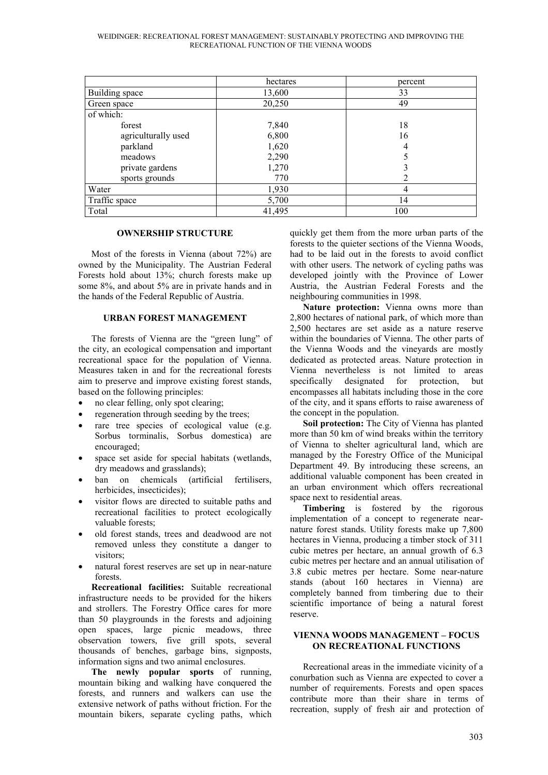|                     | hectares | percent |
|---------------------|----------|---------|
| Building space      | 13,600   | 33      |
| Green space         | 20,250   | 49      |
| of which:           |          |         |
| forest              | 7,840    | 18      |
| agriculturally used | 6,800    | 16      |
| parkland            | 1,620    | 4       |
| meadows             | 2,290    |         |
| private gardens     | 1,270    |         |
| sports grounds      | 770      |         |
| Water               | 1,930    |         |
| Traffic space       | 5,700    | 14      |
| Total               | 41,495   | 100     |

#### **OWNERSHIP STRUCTURE**

Most of the forests in Vienna (about 72%) are owned by the Municipality. The Austrian Federal Forests hold about 13%; church forests make up some 8%, and about 5% are in private hands and in the hands of the Federal Republic of Austria.

#### **URBAN FOREST MANAGEMENT**

The forests of Vienna are the "green lung" of the city, an ecological compensation and important recreational space for the population of Vienna. Measures taken in and for the recreational forests aim to preserve and improve existing forest stands, based on the following principles:

- no clear felling, only spot clearing;
- regeneration through seeding by the trees;
- rare tree species of ecological value (e.g. Sorbus torminalis, Sorbus domestica) are encouraged;
- space set aside for special habitats (wetlands, dry meadows and grasslands);
- ban on chemicals (artificial fertilisers, herbicides, insecticides);
- visitor flows are directed to suitable paths and recreational facilities to protect ecologically valuable forests;
- old forest stands, trees and deadwood are not removed unless they constitute a danger to visitors;
- natural forest reserves are set up in near-nature forests.

**Recreational facilities:** Suitable recreational infrastructure needs to be provided for the hikers and strollers. The Forestry Office cares for more than 50 playgrounds in the forests and adjoining open spaces, large picnic meadows, three observation towers, five grill spots, several thousands of benches, garbage bins, signposts, information signs and two animal enclosures.

**The newly popular sports** of running, mountain biking and walking have conquered the forests, and runners and walkers can use the extensive network of paths without friction. For the mountain bikers, separate cycling paths, which quickly get them from the more urban parts of the forests to the quieter sections of the Vienna Woods, had to be laid out in the forests to avoid conflict with other users. The network of cycling paths was developed jointly with the Province of Lower Austria, the Austrian Federal Forests and the neighbouring communities in 1998.

**Nature protection:** Vienna owns more than 2,800 hectares of national park, of which more than 2,500 hectares are set aside as a nature reserve within the boundaries of Vienna. The other parts of the Vienna Woods and the vineyards are mostly dedicated as protected areas. Nature protection in Vienna nevertheless is not limited to areas specifically designated for protection, but encompasses all habitats including those in the core of the city, and it spans efforts to raise awareness of the concept in the population.

**Soil protection:** The City of Vienna has planted more than 50 km of wind breaks within the territory of Vienna to shelter agricultural land, which are managed by the Forestry Office of the Municipal Department 49. By introducing these screens, an additional valuable component has been created in an urban environment which offers recreational space next to residential areas.

**Timbering** is fostered by the rigorous implementation of a concept to regenerate nearnature forest stands. Utility forests make up 7,800 hectares in Vienna, producing a timber stock of 311 cubic metres per hectare, an annual growth of 6.3 cubic metres per hectare and an annual utilisation of 3.8 cubic metres per hectare. Some near-nature stands (about 160 hectares in Vienna) are completely banned from timbering due to their scientific importance of being a natural forest reserve.

# **VIENNA WOODS MANAGEMENT – FOCUS ON RECREATIONAL FUNCTIONS**

Recreational areas in the immediate vicinity of a conurbation such as Vienna are expected to cover a number of requirements. Forests and open spaces contribute more than their share in terms of recreation, supply of fresh air and protection of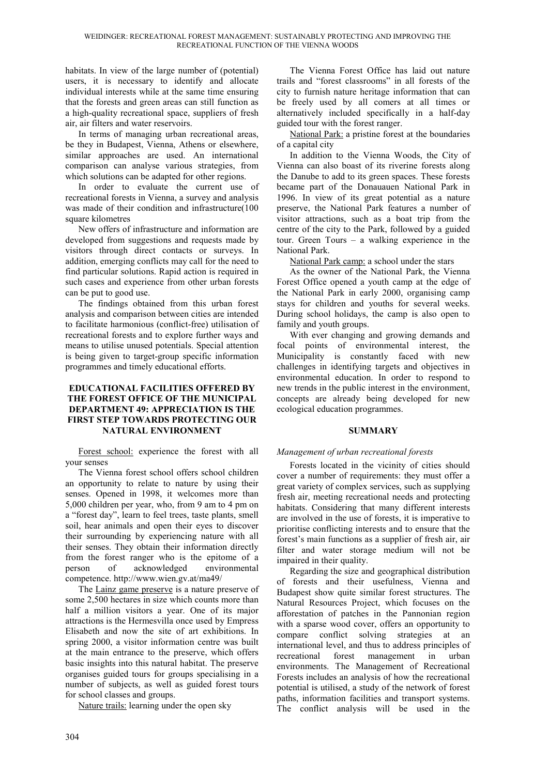habitats. In view of the large number of (potential) users, it is necessary to identify and allocate individual interests while at the same time ensuring that the forests and green areas can still function as a high-quality recreational space, suppliers of fresh air, air filters and water reservoirs.

In terms of managing urban recreational areas, be they in Budapest, Vienna, Athens or elsewhere, similar approaches are used. An international comparison can analyse various strategies, from which solutions can be adapted for other regions.

In order to evaluate the current use of recreational forests in Vienna, a survey and analysis was made of their condition and infrastructure(100 square kilometres

New offers of infrastructure and information are developed from suggestions and requests made by visitors through direct contacts or surveys. In addition, emerging conflicts may call for the need to find particular solutions. Rapid action is required in such cases and experience from other urban forests can be put to good use.

The findings obtained from this urban forest analysis and comparison between cities are intended to facilitate harmonious (conflict-free) utilisation of recreational forests and to explore further ways and means to utilise unused potentials. Special attention is being given to target-group specific information programmes and timely educational efforts.

# **EDUCATIONAL FACILITIES OFFERED BY THE FOREST OFFICE OF THE MUNICIPAL DEPARTMENT 49: APPRECIATION IS THE FIRST STEP TOWARDS PROTECTING OUR NATURAL ENVIRONMENT**

Forest school: experience the forest with all your senses

The Vienna forest school offers school children an opportunity to relate to nature by using their senses. Opened in 1998, it welcomes more than 5,000 children per year, who, from 9 am to 4 pm on a "forest day", learn to feel trees, taste plants, smell soil, hear animals and open their eyes to discover their surrounding by experiencing nature with all their senses. They obtain their information directly from the forest ranger who is the epitome of a person of acknowledged environmental competence. http://www.wien.gv.at/ma49/

The Lainz game preserve is a nature preserve of some 2,500 hectares in size which counts more than half a million visitors a year. One of its major attractions is the Hermesvilla once used by Empress Elisabeth and now the site of art exhibitions. In spring 2000, a visitor information centre was built at the main entrance to the preserve, which offers basic insights into this natural habitat. The preserve organises guided tours for groups specialising in a number of subjects, as well as guided forest tours for school classes and groups.

Nature trails: learning under the open sky

The Vienna Forest Office has laid out nature trails and "forest classrooms" in all forests of the city to furnish nature heritage information that can be freely used by all comers at all times or alternatively included specifically in a half-day guided tour with the forest ranger.

National Park: a pristine forest at the boundaries of a capital city

In addition to the Vienna Woods, the City of Vienna can also boast of its riverine forests along the Danube to add to its green spaces. These forests became part of the Donauauen National Park in 1996. In view of its great potential as a nature preserve, the National Park features a number of visitor attractions, such as a boat trip from the centre of the city to the Park, followed by a guided tour. Green Tours – a walking experience in the National Park.

National Park camp: a school under the stars

As the owner of the National Park, the Vienna Forest Office opened a youth camp at the edge of the National Park in early 2000, organising camp stays for children and youths for several weeks. During school holidays, the camp is also open to family and youth groups.

With ever changing and growing demands and focal points of environmental interest, the Municipality is constantly faced with new challenges in identifying targets and objectives in environmental education. In order to respond to new trends in the public interest in the environment, concepts are already being developed for new ecological education programmes.

# **SUMMARY**

# *Management of urban recreational forests*

Forests located in the vicinity of cities should cover a number of requirements: they must offer a great variety of complex services, such as supplying fresh air, meeting recreational needs and protecting habitats. Considering that many different interests are involved in the use of forests, it is imperative to prioritise conflicting interests and to ensure that the forest's main functions as a supplier of fresh air, air filter and water storage medium will not be impaired in their quality.

Regarding the size and geographical distribution of forests and their usefulness, Vienna and Budapest show quite similar forest structures. The Natural Resources Project, which focuses on the afforestation of patches in the Pannonian region with a sparse wood cover, offers an opportunity to compare conflict solving strategies at an international level, and thus to address principles of recreational forest management in urban environments. The Management of Recreational Forests includes an analysis of how the recreational potential is utilised, a study of the network of forest paths, information facilities and transport systems. The conflict analysis will be used in the